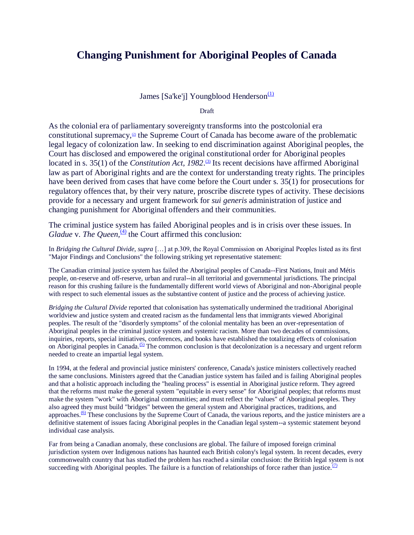# **Changing Punishment for Aboriginal Peoples of Canada**

James [Sa'ke'j] Youngblood Henderson $\frac{(1)}{2}$  $\frac{(1)}{2}$  $\frac{(1)}{2}$ 

Draft

As the colonial era of parliamentary sovereignty transforms into the postcolonial era constitutional supremacy, $\omega$  the Supreme Court of Canada has become aware of the problematic legal legacy of colonization law. In seeking to end discrimination against Aboriginal peoples, the Court has disclosed and empowered the original constitutional order for Aboriginal peoples located in s. 35(1) of the *Constitution Act, 1982*.<sup>[\(3\)](http://http-server.carleton.ca/~mflynnbu/sociomoos/henderson.htm#N_3_)</sup> Its recent decisions have affirmed Aboriginal law as part of Aboriginal rights and are the context for understanding treaty rights. The principles have been derived from cases that have come before the Court under s. 35(1) for prosecutions for regulatory offences that, by their very nature, proscribe discrete types of activity. These decisions provide for a necessary and urgent framework for *sui generis* administration of justice and changing punishment for Aboriginal offenders and their communities.

The criminal justice system has failed Aboriginal peoples and is in crisis over these issues. In *Gladue* v. *The Queen*,<sup>[\(4\)](http://http-server.carleton.ca/~mflynnbu/sociomoos/henderson.htm#N_4_)</sup> the Court affirmed this conclusion:

In *Bridging the Cultural Divide*, *supra* […] at p.309, the Royal Commission on Aboriginal Peoples listed as its first "Major Findings and Conclusions" the following striking yet representative statement:

The Canadian criminal justice system has failed the Aboriginal peoples of Canada--First Nations, Inuit and Métis people, on-reserve and off-reserve, urban and rural--in all territorial and governmental jurisdictions. The principal reason for this crushing failure is the fundamentally different world views of Aboriginal and non-Aboriginal people with respect to such elemental issues as the substantive content of justice and the process of achieving justice.

*Bridging the Cultural Divide* reported that colonisation has systematically undermined the traditional Aboriginal worldview and justice system and created racism as the fundamental lens that immigrants viewed Aboriginal peoples. The result of the "disorderly symptoms" of the colonial mentality has been an over-representation of Aboriginal peoples in the criminal justice system and systemic racism. More than two decades of commissions, inquiries, reports, special initiatives, conferences, and books have established the totalizing effects of colonisation on Aboriginal peoples in Canada.<sup>[\(5\)](http://http-server.carleton.ca/~mflynnbu/sociomoos/henderson.htm#N_5_)</sup> The common conclusion is that decolonization is a necessary and urgent reform needed to create an impartial legal system.

In 1994, at the federal and provincial justice ministers' conference, Canada's justice ministers collectively reached the same conclusions. Ministers agreed that the Canadian justice system has failed and is failing Aboriginal peoples and that a holistic approach including the "healing process" is essential in Aboriginal justice reform. They agreed that the reforms must make the general system "equitable in every sense" for Aboriginal peoples; that reforms must make the system "work" with Aboriginal communities; and must reflect the "values" of Aboriginal peoples. They also agreed they must build "bridges" between the general system and Aboriginal practices, traditions, and approaches.<sup> $(6)$ </sup> These conclusions by the Supreme Court of Canada, the various reports, and the justice ministers are a definitive statement of issues facing Aboriginal peoples in the Canadian legal system--a systemic statement beyond individual case analysis.

Far from being a Canadian anomaly, these conclusions are global. The failure of imposed foreign criminal jurisdiction system over Indigenous nations has haunted each British colony's legal system. In recent decades, every commonwealth country that has studied the problem has reached a similar conclusion: the British legal system is not succeeding with Aboriginal peoples. The failure is a function of relationships of force rather than justice. $(7)$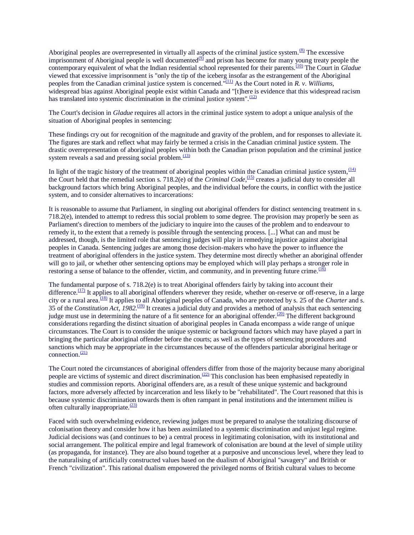Aboriginal peoples are overrepresented in virtually all aspects of the criminal justice system. $\frac{(8)}{8}$  $\frac{(8)}{8}$  $\frac{(8)}{8}$  The excessive imprisonment of Aboriginal people is well documented $\frac{99}{2}$  and prison has become for many young treaty people the contemporary equivalent of what the Indian residential school represented for their parents.[\(10\)](http://http-server.carleton.ca/~mflynnbu/sociomoos/henderson.htm#N_10_) The Court in *Gladue* viewed that excessive imprisonment is "only the tip of the iceberg insofar as the estrangement of the Aboriginal peoples from the Canadian criminal justice system is concerned."[\(11\)](http://http-server.carleton.ca/~mflynnbu/sociomoos/henderson.htm#N_11_) As the Court noted in *R. v. Williams,*  widespread bias against Aboriginal people exist within Canada and "[t]here is evidence that this widespread racism has translated into systemic discrimination in the criminal justice system". $\frac{(12)}{(12)}$  $\frac{(12)}{(12)}$  $\frac{(12)}{(12)}$ 

The Court's decision in *Gladue* requires all actors in the criminal justice system to adopt a unique analysis of the situation of Aboriginal peoples in sentencing:

These findings cry out for recognition of the magnitude and gravity of the problem, and for responses to alleviate it. The figures are stark and reflect what may fairly be termed a crisis in the Canadian criminal justice system. The drastic overrepresentation of aboriginal peoples within both the Canadian prison population and the criminal justice system reveals a sad and pressing social problem. $\frac{(13)}{2}$  $\frac{(13)}{2}$  $\frac{(13)}{2}$ 

In light of the tragic history of the treatment of aboriginal peoples within the Canadian criminal justice system,  $\frac{(14)}{(14)}$  $\frac{(14)}{(14)}$  $\frac{(14)}{(14)}$ the Court held that the remedial section s. 718.2(e) of the *Criminal Code*,<sup>[\(15\)](http://http-server.carleton.ca/~mflynnbu/sociomoos/henderson.htm#N_15_)</sup> creates a judicial duty to consider all background factors which bring Aboriginal peoples, and the individual before the courts, in conflict with the justice system, and to consider alternatives to incarcerations:

It is reasonable to assume that Parliament, in singling out aboriginal offenders for distinct sentencing treatment in s. 718.2(e), intended to attempt to redress this social problem to some degree. The provision may properly be seen as Parliament's direction to members of the judiciary to inquire into the causes of the problem and to endeavour to remedy it, to the extent that a remedy is possible through the sentencing process. [...] What can and must be addressed, though, is the limited role that sentencing judges will play in remedying injustice against aboriginal peoples in Canada. Sentencing judges are among those decision-makers who have the power to influence the treatment of aboriginal offenders in the justice system. They determine most directly whether an aboriginal offender will go to jail, or whether other sentencing options may be employed which will play perhaps a stronger role in restoring a sense of balance to the offender, victim, and community, and in preventing future crime.<sup>[\(16\)](http://http-server.carleton.ca/~mflynnbu/sociomoos/henderson.htm#N_16_)</sup>

The fundamental purpose of s. 718.2(e) is to treat Aboriginal offenders fairly by taking into account their difference.<sup>[\(17\)](http://http-server.carleton.ca/~mflynnbu/sociomoos/henderson.htm#N_17_)</sup> It applies to all aboriginal offenders wherever they reside, whether on-reserve or off-reserve, in a large city or a rural area.[\(18\)](http://http-server.carleton.ca/~mflynnbu/sociomoos/henderson.htm#N_18_) It applies to all Aboriginal peoples of Canada, who are protected by s. 25 of the *Charter* and s. 35 of the *Constitution Act*, 1982.<sup>[\(19\)](http://http-server.carleton.ca/~mflynnbu/sociomoos/henderson.htm#N_19_)</sup> It creates a judicial duty and provides a method of analysis that each sentencing judge must use in determining the nature of a fit sentence for an aboriginal offender. $(20)$  The different background considerations regarding the distinct situation of aboriginal peoples in Canada encompass a wide range of unique circumstances. The Court is to consider the unique systemic or background factors which may have played a part in bringing the particular aboriginal offender before the courts; as well as the types of sentencing procedures and sanctions which may be appropriate in the circumstances because of the offenders particular aboriginal heritage or connection. $\frac{(21)}{2}$  $\frac{(21)}{2}$  $\frac{(21)}{2}$ 

The Court noted the circumstances of aboriginal offenders differ from those of the majority because many aboriginal people are victims of systemic and direct discrimination.[\(22\)](http://http-server.carleton.ca/~mflynnbu/sociomoos/henderson.htm#N_22_) This conclusion has been emphasised repeatedly in studies and commission reports. Aboriginal offenders are, as a result of these unique systemic and background factors, more adversely affected by incarceration and less likely to be "rehabilitated". The Court reasoned that this is because systemic discrimination towards them is often rampant in penal institutions and the internment milieu is often culturally inappropriate. $(23)$ 

Faced with such overwhelming evidence, reviewing judges must be prepared to analyse the totalizing discourse of colonisation theory and consider how it has been assimilated to a systemic discrimination and unjust legal regime. Judicial decisions was (and continues to be) a central process in legitimating colonisation, with its institutional and social arrangement. The political empire and legal framework of colonisation are bound at the level of simple utility (as propaganda, for instance). They are also bound together at a purposive and unconscious level, where they lead to the naturalising of artificially constructed values based on the dualism of Aboriginal "savagery" and British or French "civilization". This rational dualism empowered the privileged norms of British cultural values to become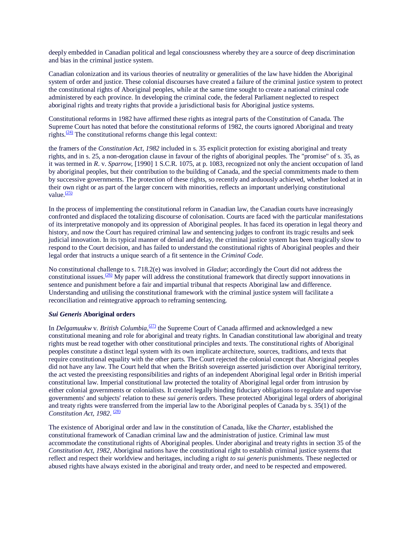deeply embedded in Canadian political and legal consciousness whereby they are a source of deep discrimination and bias in the criminal justice system.

Canadian colonization and its various theories of neutrality or generalities of the law have hidden the Aboriginal system of order and justice. These colonial discourses have created a failure of the criminal justice system to protect the constitutional rights of Aboriginal peoples, while at the same time sought to create a national criminal code administered by each province. In developing the criminal code, the federal Parliament neglected to respect aboriginal rights and treaty rights that provide a jurisdictional basis for Aboriginal justice systems.

Constitutional reforms in 1982 have affirmed these rights as integral parts of the Constitution of Canada. The Supreme Court has noted that before the constitutional reforms of 1982, the courts ignored Aboriginal and treaty rights. $\frac{(24)}{2}$  $\frac{(24)}{2}$  $\frac{(24)}{2}$  The constitutional reforms change this legal context:

the framers of the *Constitution Act, 1982* included in s. 35 explicit protection for existing aboriginal and treaty rights, and in s. 25, a non-derogation clause in favour of the rights of aboriginal peoples. The "promise" of s. 35, as it was termed in *R*. v. *Sparrow*, [1990] 1 S.C.R. 1075, at p. 1083, recognized not only the ancient occupation of land by aboriginal peoples, but their contribution to the building of Canada, and the special commitments made to them by successive governments. The protection of these rights, so recently and arduously achieved, whether looked at in their own right or as part of the larger concern with minorities, reflects an important underlying constitutional value. $\frac{(25)}{2}$  $\frac{(25)}{2}$  $\frac{(25)}{2}$ 

In the process of implementing the constitutional reform in Canadian law, the Canadian courts have increasingly confronted and displaced the totalizing discourse of colonisation. Courts are faced with the particular manifestations of its interpretative monopoly and its oppression of Aboriginal peoples. It has faced its operation in legal theory and history, and now the Court has required criminal law and sentencing judges to confront its tragic results and seek judicial innovation. In its typical manner of denial and delay, the criminal justice system has been tragically slow to respond to the Court decision, and has failed to understand the constitutional rights of Aboriginal peoples and their legal order that instructs a unique search of a fit sentence in the *Criminal Code*.

No constitutional challenge to s. 718.2(e) was involved in *Gladue*; accordingly the Court did not address the constitutional issues.<sup>[\(26\)](http://http-server.carleton.ca/~mflynnbu/sociomoos/henderson.htm#N_26_)</sup> My paper will address the constitutional framework that directly support innovations in sentence and punishment before a fair and impartial tribunal that respects Aboriginal law and difference. Understanding and utilising the constitutional framework with the criminal justice system will facilitate a reconciliation and reintegrative approach to reframing sentencing.

#### *Sui Generis* **Aboriginal orders**

In *Delgamuukw* v. *British Columbia*,<sup>27</sup> the Supreme Court of Canada affirmed and acknowledged a new constitutional meaning and role for aboriginal and treaty rights. In Canadian constitutional law aboriginal and treaty rights must be read together with other constitutional principles and texts. The constitutional rights of Aboriginal peoples constitute a distinct legal system with its own implicate architecture, sources, traditions, and texts that require constitutional equality with the other parts. The Court rejected the colonial concept that Aboriginal peoples did not have any law. The Court held that when the British sovereign asserted jurisdiction over Aboriginal territory, the act vested the preexisting responsibilities and rights of an independent Aboriginal legal order in British imperial constitutional law. Imperial constitutional law protected the totality of Aboriginal legal order from intrusion by either colonial governments or colonialists. It created legally binding fiduciary obligations to regulate and supervise governments' and subjects' relation to these *sui generis* orders. These protected Aboriginal legal orders of aboriginal and treaty rights were transferred from the imperial law to the Aboriginal peoples of Canada by s. 35(1) of the Constitution Act, 1982.<sup>[\(28\)](http://http-server.carleton.ca/~mflynnbu/sociomoos/henderson.htm#N_28_)</sup>

The existence of Aboriginal order and law in the constitution of Canada, like the *Charter*, established the constitutional framework of Canadian criminal law and the administration of justice. Criminal law must accommodate the constitutional rights of Aboriginal peoples. Under aboriginal and treaty rights in section 35 of the *Constitution Act, 1982*, Aboriginal nations have the constitutional right to establish criminal justice systems that reflect and respect their worldview and heritages, including a right *to sui generis* punishments. These neglected or abused rights have always existed in the aboriginal and treaty order, and need to be respected and empowered.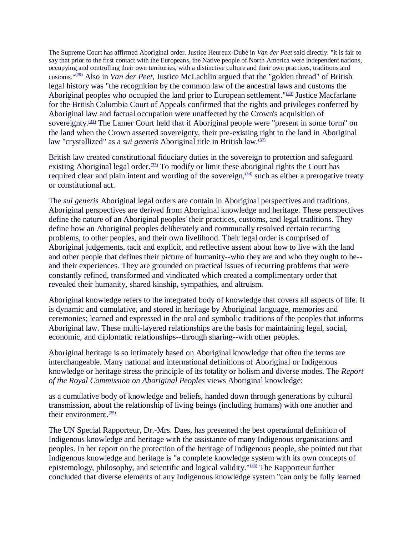The Supreme Court has affirmed Aboriginal order. Justice Heureux-Dubé in *Van der Peet* said directly: "it is fair to say that prior to the first contact with the Europeans, the Native people of North America were independent nations, occupying and controlling their own territories, with a distinctive culture and their own practices, traditions and customs."[\(29\)](http://http-server.carleton.ca/~mflynnbu/sociomoos/henderson.htm#N_29_) Also in *Van der Peet*, Justice McLachlin argued that the "golden thread" of British legal history was "the recognition by the common law of the ancestral laws and customs the Aboriginal peoples who occupied the land prior to European settlement."<sup>[\(30\)](http://http-server.carleton.ca/~mflynnbu/sociomoos/henderson.htm#N_30_)</sup> Justice Macfarlane for the British Columbia Court of Appeals confirmed that the rights and privileges conferred by Aboriginal law and factual occupation were unaffected by the Crown's acquisition of sovereignty.<sup>[\(31\)](http://http-server.carleton.ca/~mflynnbu/sociomoos/henderson.htm#N_31_)</sup> The Lamer Court held that if Aboriginal people were "present in some form" on the land when the Crown asserted sovereignty, their pre-existing right to the land in Aboriginal law "crystallized" as a *sui generis* Aboriginal title in British law.[\(32\)](http://http-server.carleton.ca/~mflynnbu/sociomoos/henderson.htm#N_32_)

British law created constitutional fiduciary duties in the sovereign to protection and safeguard existing Aboriginal legal order.<sup> $(33)$ </sup> To modify or limit these aboriginal rights the Court has required clear and plain intent and wording of the sovereign,  $(34)$  such as either a prerogative treaty or constitutional act.

The *sui generis* Aboriginal legal orders are contain in Aboriginal perspectives and traditions. Aboriginal perspectives are derived from Aboriginal knowledge and heritage. These perspectives define the nature of an Aboriginal peoples' their practices, customs, and legal traditions. They define how an Aboriginal peoples deliberately and communally resolved certain recurring problems, to other peoples, and their own livelihood. Their legal order is comprised of Aboriginal judgements, tacit and explicit, and reflective assent about how to live with the land and other people that defines their picture of humanity--who they are and who they ought to be- and their experiences. They are grounded on practical issues of recurring problems that were constantly refined, transformed and vindicated which created a complimentary order that revealed their humanity, shared kinship, sympathies, and altruism.

Aboriginal knowledge refers to the integrated body of knowledge that covers all aspects of life. It is dynamic and cumulative, and stored in heritage by Aboriginal language, memories and ceremonies; learned and expressed in the oral and symbolic traditions of the peoples that informs Aboriginal law. These multi-layered relationships are the basis for maintaining legal, social, economic, and diplomatic relationships--through sharing--with other peoples.

Aboriginal heritage is so intimately based on Aboriginal knowledge that often the terms are interchangeable. Many national and international definitions of Aboriginal or Indigenous knowledge or heritage stress the principle of its totality or holism and diverse modes. The *Report of the Royal Commission on Aboriginal Peoples* views Aboriginal knowledge:

as a cumulative body of knowledge and beliefs, handed down through generations by cultural transmission, about the relationship of living beings (including humans) with one another and their environment. $(35)$ 

The UN Special Rapporteur, Dr.-Mrs. Daes, has presented the best operational definition of Indigenous knowledge and heritage with the assistance of many Indigenous organisations and peoples. In her report on the protection of the heritage of Indigenous people, she pointed out that Indigenous knowledge and heritage is "a complete knowledge system with its own concepts of epistemology, philosophy, and scientific and logical validity."[\(36\)](http://http-server.carleton.ca/~mflynnbu/sociomoos/henderson.htm#N_36_) The Rapporteur further concluded that diverse elements of any Indigenous knowledge system "can only be fully learned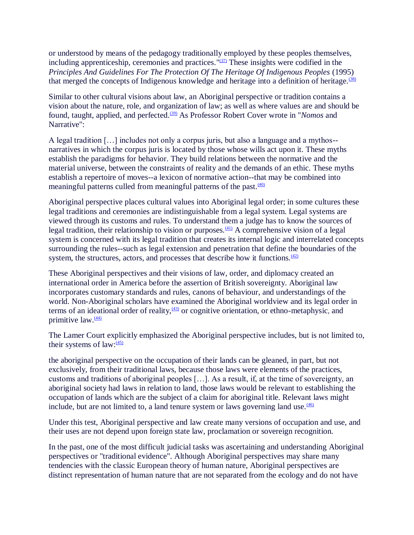or understood by means of the pedagogy traditionally employed by these peoples themselves, including apprenticeship, ceremonies and practices.  $\frac{1}{37}$  These insights were codified in the *Principles And Guidelines For The Protection Of The Heritage Of Indigenous Peoples* (1995) that merged the concepts of Indigenous knowledge and heritage into a definition of heritage. $(38)$ 

Similar to other cultural visions about law, an Aboriginal perspective or tradition contains a vision about the nature, role, and organization of law; as well as where values are and should be found, taught, applied, and perfected.<sup>[\(39\)](http://http-server.carleton.ca/~mflynnbu/sociomoos/henderson.htm#N_39_)</sup> As Professor Robert Cover wrote in "*Nomos* and Narrative":

A legal tradition […] includes not only a corpus juris, but also a language and a mythos- narratives in which the corpus juris is located by those whose wills act upon it. These myths establish the paradigms for behavior. They build relations between the normative and the material universe, between the constraints of reality and the demands of an ethic. These myths establish a repertoire of moves--a lexicon of normative action--that may be combined into meaningful patterns culled from meaningful patterns of the past. $(40)$ 

Aboriginal perspective places cultural values into Aboriginal legal order; in some cultures these legal traditions and ceremonies are indistinguishable from a legal system. Legal systems are viewed through its customs and rules. To understand them a judge has to know the sources of legal tradition, their relationship to vision or purposes.<sup>[\(41\)](http://http-server.carleton.ca/~mflynnbu/sociomoos/henderson.htm#N_41_)</sup> A comprehensive vision of a legal system is concerned with its legal tradition that creates its internal logic and interrelated concepts surrounding the rules--such as legal extension and penetration that define the boundaries of the system, the structures, actors, and processes that describe how it functions. $\frac{(42)}{2}$  $\frac{(42)}{2}$  $\frac{(42)}{2}$ 

These Aboriginal perspectives and their visions of law, order, and diplomacy created an international order in America before the assertion of British sovereignty. Aboriginal law incorporates customary standards and rules, canons of behaviour, and understandings of the world. Non-Aboriginal scholars have examined the Aboriginal worldview and its legal order in terms of an ideational order of reality, $\frac{(43)}{2}$  $\frac{(43)}{2}$  $\frac{(43)}{2}$  or cognitive orientation, or ethno-metaphysic, and primitive law. $\frac{(44)}{4}$  $\frac{(44)}{4}$  $\frac{(44)}{4}$ 

The Lamer Court explicitly emphasized the Aboriginal perspective includes, but is not limited to, their systems of law: $\frac{(45)}{2}$  $\frac{(45)}{2}$  $\frac{(45)}{2}$ 

the aboriginal perspective on the occupation of their lands can be gleaned, in part, but not exclusively, from their traditional laws, because those laws were elements of the practices, customs and traditions of aboriginal peoples […]. As a result, if, at the time of sovereignty, an aboriginal society had laws in relation to land, those laws would be relevant to establishing the occupation of lands which are the subject of a claim for aboriginal title. Relevant laws might include, but are not limited to, a land tenure system or laws governing land use. $\frac{(46)}{2}$  $\frac{(46)}{2}$  $\frac{(46)}{2}$ 

Under this test, Aboriginal perspective and law create many versions of occupation and use, and their uses are not depend upon foreign state law, proclamation or sovereign recognition.

In the past, one of the most difficult judicial tasks was ascertaining and understanding Aboriginal perspectives or "traditional evidence". Although Aboriginal perspectives may share many tendencies with the classic European theory of human nature, Aboriginal perspectives are distinct representation of human nature that are not separated from the ecology and do not have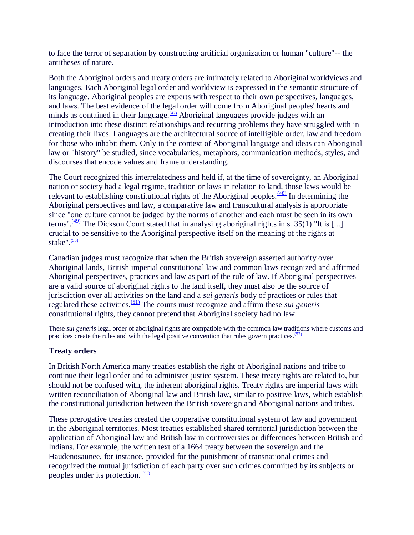to face the terror of separation by constructing artificial organization or human "culture"-- the antitheses of nature.

Both the Aboriginal orders and treaty orders are intimately related to Aboriginal worldviews and languages. Each Aboriginal legal order and worldview is expressed in the semantic structure of its language. Aboriginal peoples are experts with respect to their own perspectives, languages, and laws. The best evidence of the legal order will come from Aboriginal peoples' hearts and minds as contained in their language. $(47)$  Aboriginal languages provide judges with an introduction into these distinct relationships and recurring problems they have struggled with in creating their lives. Languages are the architectural source of intelligible order, law and freedom for those who inhabit them. Only in the context of Aboriginal language and ideas can Aboriginal law or "history" be studied, since vocabularies, metaphors, communication methods, styles, and discourses that encode values and frame understanding.

The Court recognized this interrelatedness and held if, at the time of sovereignty, an Aboriginal nation or society had a legal regime, tradition or laws in relation to land, those laws would be relevant to establishing constitutional rights of the Aboriginal peoples. $\frac{(48)}{8}$  $\frac{(48)}{8}$  $\frac{(48)}{8}$  In determining the Aboriginal perspectives and law, a comparative law and transcultural analysis is appropriate since "one culture cannot be judged by the norms of another and each must be seen in its own terms".<sup>[\(49\)](http://http-server.carleton.ca/~mflynnbu/sociomoos/henderson.htm#N_49_)</sup> The Dickson Court stated that in analysing aboriginal rights in s. 35(1) "It is [...] crucial to be sensitive to the Aboriginal perspective itself on the meaning of the rights at stake". $(50)$ 

Canadian judges must recognize that when the British sovereign asserted authority over Aboriginal lands, British imperial constitutional law and common laws recognized and affirmed Aboriginal perspectives, practices and law as part of the rule of law. If Aboriginal perspectives are a valid source of aboriginal rights to the land itself, they must also be the source of jurisdiction over all activities on the land and a *sui generis* body of practices or rules that regulated these activities.[\(51\)](http://http-server.carleton.ca/~mflynnbu/sociomoos/henderson.htm#N_51_) The courts must recognize and affirm these *sui generis* constitutional rights, they cannot pretend that Aboriginal society had no law.

These *sui generis* legal order of aboriginal rights are compatible with the common law traditions where customs and practices create the rules and with the legal positive convention that rules govern practices. $\frac{(52)}{2}$  $\frac{(52)}{2}$  $\frac{(52)}{2}$ 

## **Treaty orders**

In British North America many treaties establish the right of Aboriginal nations and tribe to continue their legal order and to administer justice system. These treaty rights are related to, but should not be confused with, the inherent aboriginal rights. Treaty rights are imperial laws with written reconciliation of Aboriginal law and British law, similar to positive laws, which establish the constitutional jurisdiction between the British sovereign and Aboriginal nations and tribes.

These prerogative treaties created the cooperative constitutional system of law and government in the Aboriginal territories. Most treaties established shared territorial jurisdiction between the application of Aboriginal law and British law in controversies or differences between British and Indians. For example, the written text of a 1664 treaty between the sovereign and the Haudenosaunee, for instance, provided for the punishment of transnational crimes and recognized the mutual jurisdiction of each party over such crimes committed by its subjects or peoples under its protection. [\(53\)](http://http-server.carleton.ca/~mflynnbu/sociomoos/henderson.htm#N_53_)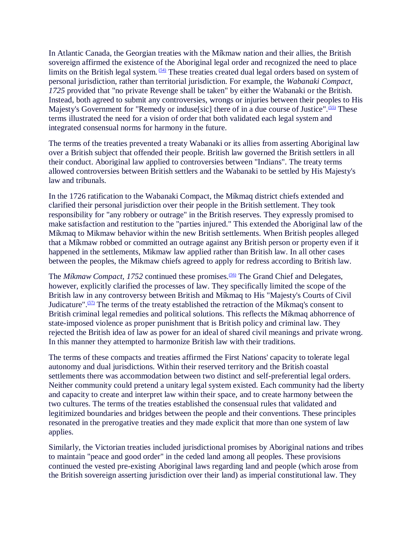In Atlantic Canada, the Georgian treaties with the Míkmaw nation and their allies, the British sovereign affirmed the existence of the Aboriginal legal order and recognized the need to place limits on the British legal system. <sup>[\(54\)](http://http-server.carleton.ca/~mflynnbu/sociomoos/henderson.htm#N_54_)</sup> These treaties created dual legal orders based on system of personal jurisdiction, rather than territorial jurisdiction. For example, the *Wabanaki Compact, 1725* provided that "no private Revenge shall be taken" by either the Wabanaki or the British. Instead, both agreed to submit any controversies, wrongs or injuries between their peoples to His Majesty's Government for "Remedy or induse[sic] there of in a due course of Justice".<sup>[\(55\)](http://http-server.carleton.ca/~mflynnbu/sociomoos/henderson.htm#N_55_)</sup> These terms illustrated the need for a vision of order that both validated each legal system and integrated consensual norms for harmony in the future.

The terms of the treaties prevented a treaty Wabanaki or its allies from asserting Aboriginal law over a British subject that offended their people. British law governed the British settlers in all their conduct. Aboriginal law applied to controversies between "Indians". The treaty terms allowed controversies between British settlers and the Wabanaki to be settled by His Majesty's law and tribunals.

In the 1726 ratification to the Wabanaki Compact, the Míkmaq district chiefs extended and clarified their personal jurisdiction over their people in the British settlement. They took responsibility for "any robbery or outrage" in the British reserves. They expressly promised to make satisfaction and restitution to the "parties injured." This extended the Aboriginal law of the Míkmaq to Mikmaw behavior within the new British settlements. When British peoples alleged that a Míkmaw robbed or committed an outrage against any British person or property even if it happened in the settlements, Mikmaw law applied rather than British law. In all other cases between the peoples, the Mikmaw chiefs agreed to apply for redress according to British law.

The *Míkmaw Compact, 1752* continued these promises.<sup>[\(56\)](http://http-server.carleton.ca/~mflynnbu/sociomoos/henderson.htm#N_56_)</sup> The Grand Chief and Delegates, however, explicitly clarified the processes of law. They specifically limited the scope of the British law in any controversy between British and Míkmaq to His "Majesty's Courts of Civil Judicature".<sup>[\(57\)](http://http-server.carleton.ca/~mflynnbu/sociomoos/henderson.htm#N_57_)</sup> The terms of the treaty established the retraction of the Míkmaq's consent to British criminal legal remedies and political solutions. This reflects the Míkmaq abhorrence of state-imposed violence as proper punishment that is British policy and criminal law. They rejected the British idea of law as power for an ideal of shared civil meanings and private wrong. In this manner they attempted to harmonize British law with their traditions.

The terms of these compacts and treaties affirmed the First Nations' capacity to tolerate legal autonomy and dual jurisdictions. Within their reserved territory and the British coastal settlements there was accommodation between two distinct and self-preferential legal orders. Neither community could pretend a unitary legal system existed. Each community had the liberty and capacity to create and interpret law within their space, and to create harmony between the two cultures. The terms of the treaties established the consensual rules that validated and legitimized boundaries and bridges between the people and their conventions. These principles resonated in the prerogative treaties and they made explicit that more than one system of law applies.

Similarly, the Victorian treaties included jurisdictional promises by Aboriginal nations and tribes to maintain "peace and good order" in the ceded land among all peoples. These provisions continued the vested pre-existing Aboriginal laws regarding land and people (which arose from the British sovereign asserting jurisdiction over their land) as imperial constitutional law. They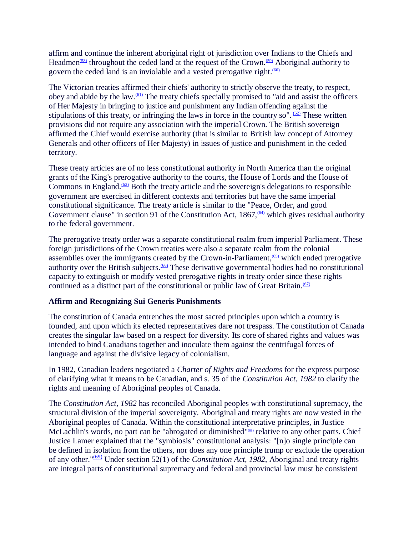affirm and continue the inherent aboriginal right of jurisdiction over Indians to the Chiefs and Headmen<sup>[\(58\)](http://http-server.carleton.ca/~mflynnbu/sociomoos/henderson.htm#N_58_)</sup> throughout the ceded land at the request of the Crown.<sup> $(59)$ </sup> Aboriginal authority to govern the ceded land is an inviolable and a vested prerogative right. $(60)$ 

The Victorian treaties affirmed their chiefs' authority to strictly observe the treaty, to respect, obey and abide by the law.[\(61\)](http://http-server.carleton.ca/~mflynnbu/sociomoos/henderson.htm#N_61_) The treaty chiefs specially promised to "aid and assist the officers of Her Majesty in bringing to justice and punishment any Indian offending against the stipulations of this treaty, or infringing the laws in force in the country so".  $(62)$  These written provisions did not require any association with the imperial Crown. The British sovereign affirmed the Chief would exercise authority (that is similar to British law concept of Attorney Generals and other officers of Her Majesty) in issues of justice and punishment in the ceded territory.

These treaty articles are of no less constitutional authority in North America than the original grants of the King's prerogative authority to the courts, the House of Lords and the House of Commons in England.<sup> $(63)$ </sup> Both the treaty article and the sovereign's delegations to responsible government are exercised in different contexts and territories but have the same imperial constitutional significance. The treaty article is similar to the "Peace, Order, and good Government clause" in section 91 of the Constitution Act,  $1867\frac{64}{100}$  which gives residual authority to the federal government.

The prerogative treaty order was a separate constitutional realm from imperial Parliament. These foreign jurisdictions of the Crown treaties were also a separate realm from the colonial assemblies over the immigrants created by the Crown-in-Parliament,[\(65\)](http://http-server.carleton.ca/~mflynnbu/sociomoos/henderson.htm#N_65_) which ended prerogative authority over the British subjects.<sup>[\(66\)](http://http-server.carleton.ca/~mflynnbu/sociomoos/henderson.htm#N_66_)</sup> These derivative governmental bodies had no constitutional capacity to extinguish or modify vested prerogative rights in treaty order since these rights continued as a distinct part of the constitutional or public law of Great Britain.<sup> $(67)$ </sup>

## **Affirm and Recognizing Sui Generis Punishments**

The constitution of Canada entrenches the most sacred principles upon which a country is founded, and upon which its elected representatives dare not trespass. The constitution of Canada creates the singular law based on a respect for diversity. Its core of shared rights and values was intended to bind Canadians together and inoculate them against the centrifugal forces of language and against the divisive legacy of colonialism.

In 1982, Canadian leaders negotiated a *Charter of Rights and Freedoms* for the express purpose of clarifying what it means to be Canadian, and s. 35 of the *Constitution Act, 1982* to clarify the rights and meaning of Aboriginal peoples of Canada.

The *Constitution Act, 1982* has reconciled Aboriginal peoples with constitutional supremacy, the structural division of the imperial sovereignty. Aboriginal and treaty rights are now vested in the Aboriginal peoples of Canada. Within the constitutional interpretative principles, in Justice McLachlin's words, no part can be "abrogated or diminished"<sup>683</sup> relative to any other parts. Chief Justice Lamer explained that the "symbiosis" constitutional analysis: "[n]o single principle can be defined in isolation from the others, nor does any one principle trump or exclude the operation of any other."[\(69\)](http://http-server.carleton.ca/~mflynnbu/sociomoos/henderson.htm#N_69_) Under section 52(1) of the *Constitution Act, 1982*, Aboriginal and treaty rights are integral parts of constitutional supremacy and federal and provincial law must be consistent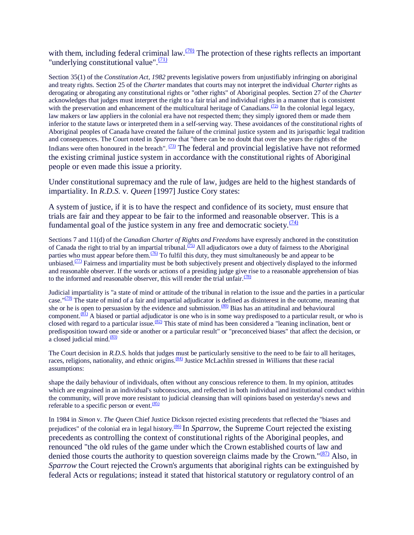with them, including federal criminal law.  $\frac{(70)}{20}$  $\frac{(70)}{20}$  $\frac{(70)}{20}$  The protection of these rights reflects an important "underlying constitutional value". $\frac{(71)}{2}$  $\frac{(71)}{2}$  $\frac{(71)}{2}$ 

Section 35(1) of the *Constitution Act, 1982* prevents legislative powers from unjustifiably infringing on aboriginal and treaty rights. Section 25 of the *Charter* mandates that courts may not interpret the individual *Charter* rights as derogating or abrogating any constitutional rights or "other rights" of Aboriginal peoples. Section 27 of the *Charter* acknowledges that judges must interpret the right to a fair trial and individual rights in a manner that is consistent with the preservation and enhancement of the multicultural heritage of Canadians.<sup>[\(72\)](http://http-server.carleton.ca/~mflynnbu/sociomoos/henderson.htm#N_72_)</sup> In the colonial legal legacy, law makers or law appliers in the colonial era have not respected them; they simply ignored them or made them inferior to the statute laws or interpreted them in a self-serving way. These avoidances of the constitutional rights of Aboriginal peoples of Canada have created the failure of the criminal justice system and its jurispathic legal tradition and consequences. The Court noted in *Sparrow* that "there can be no doubt that over the years the rights of the Indians were often honoured in the breach".  $(73)$  The federal and provincial legislative have not reformed the existing criminal justice system in accordance with the constitutional rights of Aboriginal people or even made this issue a priority.

Under constitutional supremacy and the rule of law, judges are held to the highest standards of impartiality. In *R.D.S.* v. *Queen* [1997] Justice Cory states:

A system of justice, if it is to have the respect and confidence of its society, must ensure that trials are fair and they appear to be fair to the informed and reasonable observer. This is a fundamental goal of the justice system in any free and democratic society. $\frac{(74)}{(74)}$  $\frac{(74)}{(74)}$  $\frac{(74)}{(74)}$ 

Sections 7 and 11(d) of the *Canadian Charter of Rights and Freedoms* have expressly anchored in the constitution of Canada the right to trial by an impartial tribunal.<sup> $(75)$ </sup> All adjudicators owe a duty of fairness to the Aboriginal parties who must appear before them.<sup> $(76)$ </sup> To fulfil this duty, they must simultaneously be and appear to be unbiased. $\frac{(77)}{10}$  $\frac{(77)}{10}$  $\frac{(77)}{10}$  Fairness and impartiality must be both subjectively present and objectively displayed to the informed and reasonable observer. If the words or actions of a presiding judge give rise to a reasonable apprehension of bias to the informed and reasonable observer, this will render the trial unfair. $\frac{(78)}{(2)}$  $\frac{(78)}{(2)}$  $\frac{(78)}{(2)}$ 

Judicial impartiality is "a state of mind or attitude of the tribunal in relation to the issue and the parties in a particular case." $(79)$  The state of mind of a fair and impartial adjudicator is defined as disinterest in the outcome, meaning that she or he is open to persuasion by the evidence and submission.<sup>[\(80\)](http://http-server.carleton.ca/~mflynnbu/sociomoos/henderson.htm#N_80_)</sup> Bias has an attitudinal and behavioural component. $\frac{(81)}{81}$  $\frac{(81)}{81}$  $\frac{(81)}{81}$  A biased or partial adjudicator is one who is in some way predisposed to a particular result, or who is closed with regard to a particular issue.<sup>[\(82\)](http://http-server.carleton.ca/~mflynnbu/sociomoos/henderson.htm#N_82_)</sup> This state of mind has been considered a "leaning inclination, bent or predisposition toward one side or another or a particular result" or "preconceived biases" that affect the decision, or a closed judicial mind.<sup>[\(83\)](http://http-server.carleton.ca/~mflynnbu/sociomoos/henderson.htm#N_83_)</sup>

The Court decision in *R.D.S.* holds that judges must be particularly sensitive to the need to be fair to all heritages, races, religions, nationality, and ethnic origins.<sup>[\(84\)](http://http-server.carleton.ca/~mflynnbu/sociomoos/henderson.htm#N_84_)</sup> Justice McLachlin stressed in *Williams* that these racial assumptions:

shape the daily behaviour of individuals, often without any conscious reference to them. In my opinion, attitudes which are engrained in an individual's subconscious, and reflected in both individual and institutional conduct within the community, will prove more resistant to judicial cleansing than will opinions based on yesterday's news and referable to a specific person or event. $(85)$ 

In 1984 in *Simon* v. *The Queen* Chief Justice Dickson rejected existing precedents that reflected the "biases and prejudices" of the colonial era in legal history.<sup>[\(86\)](http://http-server.carleton.ca/~mflynnbu/sociomoos/henderson.htm#N_86_)</sup> In *Sparrow*, the Supreme Court rejected the existing precedents as controlling the context of constitutional rights of the Aboriginal peoples, and renounced "the old rules of the game under which the Crown established courts of law and denied those courts the authority to question sovereign claims made by the Crown." $\frac{(87)}{81}$  $\frac{(87)}{81}$  $\frac{(87)}{81}$  Also, in *Sparrow* the Court rejected the Crown's arguments that aboriginal rights can be extinguished by federal Acts or regulations; instead it stated that historical statutory or regulatory control of an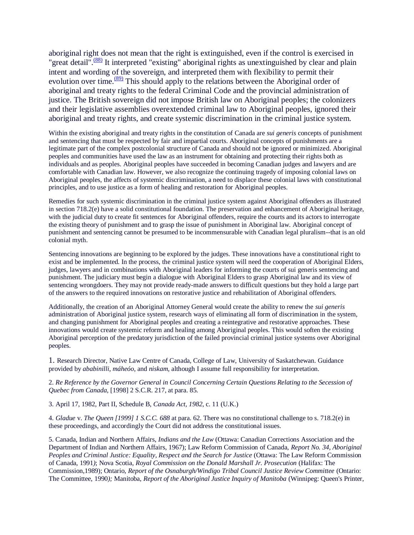aboriginal right does not mean that the right is extinguished, even if the control is exercised in "great detail".<sup>[\(88\)](http://http-server.carleton.ca/~mflynnbu/sociomoos/henderson.htm#N_88_)</sup> It interpreted "existing" aboriginal rights as unextinguished by clear and plain intent and wording of the sovereign, and interpreted them with flexibility to permit their evolution over time. $\frac{(89)}{89}$  $\frac{(89)}{89}$  $\frac{(89)}{89}$  This should apply to the relations between the Aboriginal order of aboriginal and treaty rights to the federal Criminal Code and the provincial administration of justice. The British sovereign did not impose British law on Aboriginal peoples; the colonizers and their legislative assemblies overextended criminal law to Aboriginal peoples, ignored their aboriginal and treaty rights, and create systemic discrimination in the criminal justice system.

Within the existing aboriginal and treaty rights in the constitution of Canada are *sui generis* concepts of punishment and sentencing that must be respected by fair and impartial courts. Aboriginal concepts of punishments are a legitimate part of the complex postcolonial structure of Canada and should not be ignored or minimized. Aboriginal peoples and communities have used the law as an instrument for obtaining and protecting their rights both as individuals and as peoples. Aboriginal peoples have succeeded in becoming Canadian judges and lawyers and are comfortable with Canadian law. However, we also recognize the continuing tragedy of imposing colonial laws on Aboriginal peoples, the affects of systemic discrimination, a need to displace these colonial laws with constitutional principles, and to use justice as a form of healing and restoration for Aboriginal peoples.

Remedies for such systemic discrimination in the criminal justice system against Aboriginal offenders as illustrated in section 718.2(e) have a solid constitutional foundation. The preservation and enhancement of Aboriginal heritage, with the judicial duty to create fit sentences for Aboriginal offenders, require the courts and its actors to interrogate the existing theory of punishment and to grasp the issue of punishment in Aboriginal law. Aboriginal concept of punishment and sentencing cannot be presumed to be incommensurable with Canadian legal pluralism--that is an old colonial myth.

Sentencing innovations are beginning to be explored by the judges. These innovations have a constitutional right to exist and be implemented. In the process, the criminal justice system will need the cooperation of Aboriginal Elders, judges, lawyers and in combinations with Aboriginal leaders for informing the courts of sui generis sentencing and punishment. The judiciary must begin a dialogue with Aboriginal Elders to grasp Aboriginal law and its view of sentencing wrongdoers. They may not provide ready-made answers to difficult questions but they hold a large part of the answers to the required innovations on restorative justice and rehabilitation of Aboriginal offenders.

Additionally, the creation of an Aboriginal Attorney General would create the ability to renew the *sui generis* administration of Aboriginal justice system, research ways of eliminating all form of discrimination in the system, and changing punishment for Aboriginal peoples and creating a reintegrative and restorative approaches. These innovations would create systemic reform and healing among Aboriginal peoples. This would soften the existing Aboriginal perception of the predatory jurisdiction of the failed provincial criminal justice systems over Aboriginal peoples.

1. Research Director, Native Law Centre of Canada, College of Law, University of Saskatchewan. Guidance provided by *ababinilli*, *máheóo*, and *niskam*, although I assume full responsibility for interpretation.

### 2. *Re Reference by the Governor General in Council Concerning Certain Questions Relating to the Secession of Quebec from Canada*, [1998] 2 S.C.R. 217, at para. 85.

3. April 17, 1982, Part II, Schedule B, *Canada Act, 1982*, c. 11 (U.K.)

4. *Gladue* v. *The Queen [1999] 1 S.C.C. 688* at para. 62. There was no constitutional challenge to s. 718.2(e) in these proceedings, and accordingly the Court did not address the constitutional issues.

5. Canada, Indian and Northern Affairs, *Indians and the Law* (Ottawa: Canadian Corrections Association and the Department of Indian and Northern Affairs, 1967); Law Reform Commission of Canada, *Report No. 34, Aboriginal Peoples and Criminal Justice: Equality, Respect and the Search for Justice* (Ottawa: The Law Reform Commission of Canada, 1991*)*; Nova Scotia, *Royal Commission on the Donald Marshall Jr. Prosecution* (Halifax: The Commission,1989); Ontario, *Report of the Osnaburgh/Windigo Tribal Council Justice Review Committee* (Ontario: The Committee, 1990*);* Manitoba, *Report of the Aboriginal Justice Inquiry of Manitoba* (Winnipeg: Queen's Printer,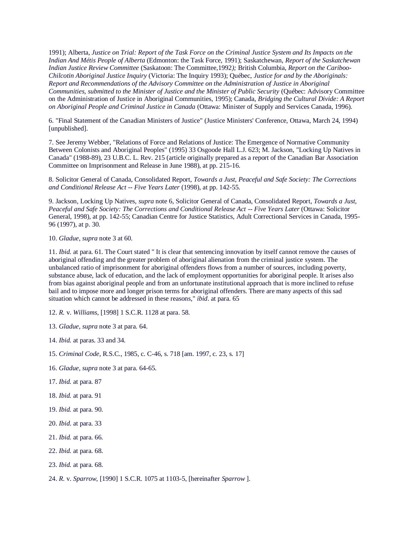1991); Alberta, *Justice on Trial: Report of the Task Force on the Criminal Justice System and Its Impacts on the Indian And Métis People of Alberta* (Edmonton: the Task Force, 1991); Saskatchewan, *Report of the Saskatchewan Indian Justice Review Committee* (Saskatoon: The Committee,1992*);* British Columbia, *Report on the Cariboo-Chilcotin Aboriginal Justice Inquiry* (Victoria: The Inquiry 1993); Québec, *Justice for and by the Aboriginals: Report and Recommendations of the Advisory Committee on the Administration of Justice in Aboriginal Communities, submitted to the Minister of Justice and the Minister of Public Security* (Québec: Advisory Committee on the Administration of Justice in Aboriginal Communities, 1995); Canada, *Bridging the Cultural Divide: A Report on Aboriginal People and Criminal Justice in Canada* (Ottawa: Minister of Supply and Services Canada, 1996).

6. "Final Statement of the Canadian Ministers of Justice" (Justice Ministers' Conference, Ottawa, March 24, 1994) [unpublished].

7. See Jeremy Webber, "Relations of Force and Relations of Justice: The Emergence of Normative Community Between Colonists and Aboriginal Peoples" (1995) 33 Osgoode Hall L.J. 623; M. Jackson, "Locking Up Natives in Canada" (1988-89), 23 U.B.C. L. Rev. 215 (article originally prepared as a report of the Canadian Bar Association Committee on Imprisonment and Release in June 1988), at pp. 215-16.

8. Solicitor General of Canada, Consolidated Report, *Towards a Just, Peaceful and Safe Society: The Corrections and Conditional Release Act -- Five Years Later* (1998), at pp. 142-55.

9. Jackson, Locking Up Natives, *supra* note 6, Solicitor General of Canada, Consolidated Report, *Towards a Just, Peaceful and Safe Society: The Corrections and Conditional Release Act -- Five Years Later* (Ottawa: Solicitor General, 1998), at pp. 142-55; Canadian Centre for Justice Statistics, Adult Correctional Services in Canada, 1995- 96 (1997), at p. 30.

10. *Gladue*, *supra* note 3 at 60.

11. *Ibid.* at para. 61. The Court stated " It is clear that sentencing innovation by itself cannot remove the causes of aboriginal offending and the greater problem of aboriginal alienation from the criminal justice system. The unbalanced ratio of imprisonment for aboriginal offenders flows from a number of sources, including poverty, substance abuse, lack of education, and the lack of employment opportunities for aboriginal people. It arises also from bias against aboriginal people and from an unfortunate institutional approach that is more inclined to refuse bail and to impose more and longer prison terms for aboriginal offenders. There are many aspects of this sad situation which cannot be addressed in these reasons," *ibid*. at para. 65

12. *R.* v. *Williams*, [1998] 1 S.C.R. 1128 at para. 58.

- 13. *Gladue*, *supra* note 3 at para. 64.
- 14. *Ibid.* at paras. 33 and 34.

15. *Criminal Code*, R.S.C., 1985, c. C-46, s. 718 [am. 1997, c. 23, s. 17]

- 16. *Gladue*, *supra* note 3 at para. 64-65.
- 17. *Ibid.* at para. 87
- 18. *Ibid.* at para. 91
- 19. *Ibid.* at para. 90.
- 20. *Ibid*. at para. 33
- 21. *Ibid.* at para. 66.
- 22. *Ibid.* at para. 68.
- 23. *Ibid.* at para. 68.

24. *R*. v. *Sparrow*, [1990] 1 S.C.R. 1075 at 1103-5, [hereinafter *Sparrow* ].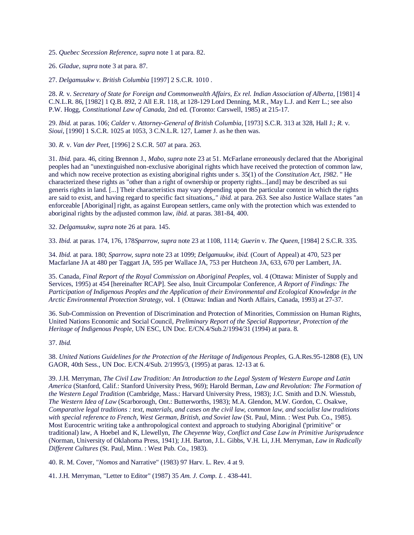25. *Quebec Secession Reference, supra* note 1 at para. 82.

26. *Gladue*, *supra* note 3 at para. 87.

27. *Delgamuukw v. British Columbia* [1997] 2 S.C.R. 1010 .

28. *R.* v. *Secretary of State for Foreign and Commonwealth Affairs, Ex rel. Indian Association of Alberta*, [1981] 4 C.N.L.R. 86, [1982] 1 Q.B. 892, 2 All E.R. 118, at 128-129 Lord Denning, M.R., May L.J. and Kerr L.; see also P.W. Hogg, *Constitutional Law of Canada,* 2nd ed. (Toronto: Carswell, 1985) at 215-17.

29. *Ibid.* at paras. 106; *Calder* v. *Attorney-General of British Columbia*, [1973] S.C.R. 313 at 328, Hall J.; *R.* v. *Sioui*, [1990] 1 S.C.R. 1025 at 1053, 3 C.N.L.R. 127, Lamer J. as he then was.

30. *R.* v. *Van der Peet*, [1996] 2 S.C.R. 507 at para. 263.

31. *Ibid.* para. 46, citing Brennon J., *Mabo, supra* note 23 at 51. McFarlane erroneously declared that the Aboriginal peoples had an "unextinguished non-exclusive aboriginal rights which have received the protection of common law, and which now receive protection as existing aboriginal rights under s. 35(1) of the *Constitution Act, 1982*. " He characterized these rights as "other than a right of ownership or property rights...[and] may be described as sui generis rights in land. [...] Their characteristics may vary depending upon the particular context in which the rights are said to exist, and having regard to specific fact situations,." *ibid.* at para. 263. See also Justice Wallace states "an enforceable [Aboriginal] right, as against European settlers, came only with the protection which was extended to aboriginal rights by the adjusted common law, *ibid.* at paras. 381-84, 400.

32. *Delgamuukw*, *supra* note 26 at para. 145.

33. *Ibid.* at paras. 174, 176, 178*Sparrow*, *supra* note 23 at 1108, 1114; *Guerin* v. *The Queen,* [1984] 2 S.C.R. 335.

34. *Ibid.* at para. 180; *Sparrow*, *supra* note 23 at 1099; *Delgamuukw*, *ibid.* (Court of Appeal) at 470, 523 per Macfarlane JA at 480 per Taggart JA, 595 per Wallace JA, 753 per Hutcheon JA, 633, 670 per Lambert, JA.

35. Canada, *Final Report of the Royal Commission on Aboriginal Peoples*, vol. 4 (Ottawa: Minister of Supply and Services, 1995) at 454 [hereinafter RCAP]. See also, Inuit Circumpolar Conference, *A Report of Findings: The Participation of Indigenous Peoples and the Application of their Environmental and Ecological Knowledge in the Arctic Environmental Protection Strategy,* vol. 1 (Ottawa: Indian and North Affairs, Canada, 1993) at 27-37.

36. Sub-Commission on Prevention of Discrimination and Protection of Minorities, Commission on Human Rights, United Nations Economic and Social Council, *Preliminary Report of the Special Rapporteur, Protection of the Heritage of Indigenous People,* UN ESC, UN Doc. E/CN.4/Sub.2/1994/31 (1994) at para. 8.

#### 37. *Ibid.*

38. *United Nations Guidelines for the Protection of the Heritage of Indigenous Peoples,* G.A.Res.95-12808 (E), UN GAOR, 40th Sess., UN Doc. E/CN.4/Sub. 2/1995/3, (1995) at paras. 12-13 at 6.

39. J.H. Merryman, *The Civil Law Tradition: An Introduction to the Legal System of Western Europe and Latin America* (Stanford, Calif.: Stanford University Press, 969); Harold Berman*, Law and Revolution: The Formation of the Western Legal Tradition* (Cambridge, Mass.: Harvard University Press, 1983); J.C. Smith and D.N. Wiesstub, *The Western Idea of Law* (Scarborough, Ont.: Butterworths, 1983); M.A. Glendon, M.W. Gordon, C. Osakwe, *Comparative legal traditions : text, materials, and cases on the civil law, common law, and socialist law traditions with special reference to French, West German, British, and Soviet law* (St. Paul, Minn. : West Pub. Co., 1985). Most Eurocentric writing take a anthropological context and approach to studying Aboriginal ('primitive" or traditional) law, A Hoebel and K, Llewellyn, *The Cheyenne Way, Conflict and Case Law in Primitive Jurisprudence* (Norman, University of Oklahoma Press, 1941); J.H. Barton, J.L. Gibbs, V.H. Li, J.H. Merryman, *Law in Radically Different Cultures* (St. Paul, Minn. : West Pub. Co., 1983).

40. R. M. Cover, "*Nomos* and Narrative" (1983) 97 Harv. L. Rev. 4 at 9.

41. J.H. Merryman, "Letter to Editor" (1987) 35 *Am. J. Comp. L .* 438-441.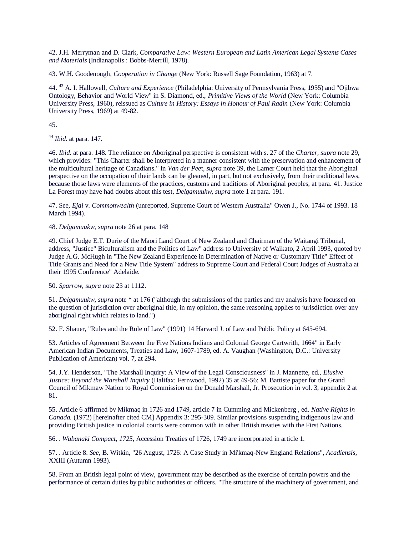42. J.H. Merryman and D. Clark, *Comparative Law: Western European and Latin American Legal Systems Cases and Materials* (Indianapolis : Bobbs-Merrill, 1978).

43. W.H. Goodenough, *Cooperation in Change* (New York: Russell Sage Foundation, 1963) at 7.

44. <sup>43</sup> A. I. Hallowell, *Culture and Experience* (Philadelphia: University of Pennsylvania Press, 1955) and "Ojibwa Ontology, Behavior and World View" in S. Diamond, ed., *Primitive Views of the World* (New York: Columbia University Press, 1960), reissued as *Culture in History: Essays in Honour of Paul Radin* (New York: Columbia University Press, 1969) at 49-82.

45.

<sup>44</sup> *Ibid.* at para. 147.

46. *Ibid.* at para. 148. The reliance on Aboriginal perspective is consistent with s. 27 of the *Charter, supra* note 29, which provides: "This Charter shall be interpreted in a manner consistent with the preservation and enhancement of the multicultural heritage of Canadians." In *Van der Pee*t, *supra* note 39, the Lamer Court held that the Aboriginal perspective on the occupation of their lands can be gleaned, in part, but not exclusively, from their traditional laws, because those laws were elements of the practices, customs and traditions of Aboriginal peoples, at para. 41. Justice La Forest may have had doubts about this test, *Delgamuukw*, *supra* note 1 at para. 191.

47. See, *Ejai* v. *Commonwealth* (unreported, Supreme Court of Western Australia" Owen J., No. 1744 of 1993. 18 March 1994).

48. *Delgamuukw*, *supra* note 26 at para. 148

49. Chief Judge E.T. Durie of the Maori Land Court of New Zealand and Chairman of the Waitangi Tribunal, address, "Justice" Biculturalism and the Politics of Law" address to University of Waikato, 2 April 1993, quoted by Judge A.G. McHugh in "The New Zealand Experience in Determination of Native or Customary Title" Effect of Title Grants and Need for a New Title System" address to Supreme Court and Federal Court Judges of Australia at their 1995 Conference" Adelaide.

50. *Sparrow*, *supra* note 23 at 1112.

51. *Delgamuukw*, *supra* note \* at 176 ("although the submissions of the parties and my analysis have focussed on the question of jurisdiction over aboriginal title, in my opinion, the same reasoning applies to jurisdiction over any aboriginal right which relates to land.")

52. F. Shauer, "Rules and the Rule of Law" (1991) 14 Harvard J. of Law and Public Policy at 645-694.

53. Articles of Agreement Between the Five Nations Indians and Colonial George Cartwrith, 1664" in Early American Indian Documents, Treaties and Law, 1607-1789, ed. A. Vaughan (Washington, D.C.: University Publication of American) vol. 7, at 294.

54. J.Y. Henderson, "The Marshall Inquiry: A View of the Legal Consciousness" in J. Mannette, ed., *Elusive Justice: Beyond the Marshall Inquiry* (Halifax: Fernwood, 1992) 35 at 49-56: M. Battiste paper for the Grand Council of Mikmaw Nation to Royal Commission on the Donald Marshall, Jr. Prosecution in vol. 3, appendix 2 at 81.

55. Article 6 affirmed by Míkmaq in 1726 and 1749, article 7 in Cumming and Mickenberg , ed. *Native Rights in Canada.* (1972) [hereinafter cited CM] Appendix 3: 295-309. Similar provisions suspending indigenous law and providing British justice in colonial courts were common with in other British treaties with the First Nations.

56. . *Wabanaki Compact, 1725*, Accession Treaties of 1726, 1749 are incorporated in article 1.

57. . Article 8. *See*, B. Witkin, "26 August, 1726: A Case Study in Mi'kmaq-New England Relations", *Acadiensis*, XXIII (Autumn 1993).

58. From an British legal point of view, government may be described as the exercise of certain powers and the performance of certain duties by public authorities or officers. "The structure of the machinery of government, and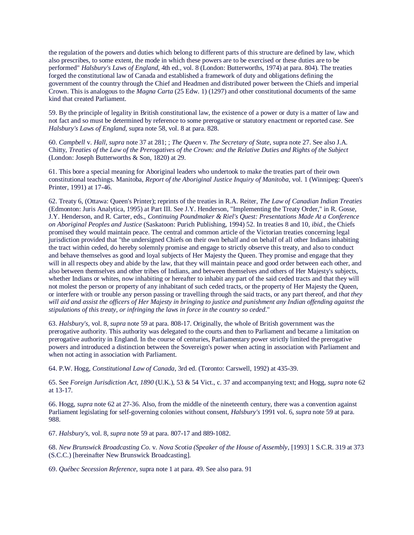the regulation of the powers and duties which belong to different parts of this structure are defined by law, which also prescribes, to some extent, the mode in which these powers are to be exercised or these duties are to be performed" *Halsbury's Laws of England*, 4th ed., vol. 8 (London: Butterworths, 1974) at para. 804). The treaties forged the constitutional law of Canada and established a framework of duty and obligations defining the government of the country through the Chief and Headmen and distributed power between the Chiefs and imperial Crown. This is analogous to the *Magna Carta* (25 Edw. 1) (1297) and other constitutional documents of the same kind that created Parliament.

59. By the principle of legality in British constitutional law, the existence of a power or duty is a matter of law and not fact and so must be determined by reference to some prerogative or statutory enactment or reported case. See *Halsbury's Laws of England*, supra note 58, vol. 8 at para. 828.

60. *Campbell* v. *Hall*, *supra* note 37 at 281; ; *The Queen* v. *The Secretary of State*, supra note 27. See also J.A. Chitty, *Treaties of the Law of the Prerogatives of the Crown: and the Relative Duties and Rights of the Subject* (London: Joseph Butterworths & Son, 1820) at 29.

61. This bore a special meaning for Aboriginal leaders who undertook to make the treaties part of their own constitutional teachings. Manitoba, *Report of the Aboriginal Justice Inquiry of Manitoba*, vol. 1 (Winnipeg: Queen's Printer, 1991) at 17-46.

62. Treaty 6, (Ottawa: Queen's Printer); reprints of the treaties in R.A. Reiter, *The Law of Canadian Indian Treaties* (Edmonton: Juris Analytica, 1995) at Part III. See J.Y. Henderson, "Implementing the Treaty Order," in R. Gosse, J.Y. Henderson, and R. Carter, eds., *Continuing Poundmaker & Riel's Quest: Presentations Made At a Conference on Aboriginal Peoples and Justice* (Saskatoon: Purich Publishing, 1994) 52. In treaties 8 and 10, *ibid.,* the Chiefs promised they would maintain peace. The central and common article of the Victorian treaties concerning legal jurisdiction provided that "the undersigned Chiefs on their own behalf and on behalf of all other Indians inhabiting the tract within ceded, do hereby solemnly promise and engage to strictly observe this treaty, and also to conduct and behave themselves as good and loyal subjects of Her Majesty the Queen. They promise and engage that they will in all respects obey and abide by the law, that they will maintain peace and good order between each other, and also between themselves and other tribes of Indians, and between themselves and others of Her Majesty's subjects, whether Indians or whites, now inhabiting or hereafter to inhabit any part of the said ceded tracts and that they will not molest the person or property of any inhabitant of such ceded tracts, or the property of Her Majesty the Queen, or interfere with or trouble any person passing or travelling through the said tracts, or any part thereof, and *that they will aid and assist the officers of Her Majesty in bringing to justice and punishment any Indian offending against the stipulations of this treaty, or infringing the laws in force in the country so ceded*."

63. *Halsbury's*, vol. 8, *supra* note 59 at para. 808-17. Originally, the whole of British government was the prerogative authority. This authority was delegated to the courts and then to Parliament and became a limitation on prerogative authority in England. In the course of centuries, Parliamentary power strictly limited the prerogative powers and introduced a distinction between the Sovereign's power when acting in association with Parliament and when not acting in association with Parliament.

64. P.W. Hogg, *Constitutional Law of Canada*, 3rd ed. (Toronto: Carswell, 1992) at 435-39.

65. See *Foreign Jurisdiction Act, 1890* (U.K.), 53 & 54 Vict., c. 37 and accompanying text; and Hogg, *supra* note 62 at 13-17.

66. Hogg, *supra* note 62 at 27-36. Also, from the middle of the nineteenth century, there was a convention against Parliament legislating for self-governing colonies without consent, *Halsbury's* 1991 vol. 6, *supra* note 59 at para. 988.

67. *Halsbury's*, vol. 8, *supra* note 59 at para. 807-17 and 889-1082.

68. *New Brunswick Broadcasting Co*. v*. Nova Scotia (Speaker of the House of Assembly*, [1993] 1 S.C.R. 319 at 373 (S.C.C.) [hereinafter New Brunswick Broadcasting].

69. *Québec Secession Reference*, supra note 1 at para. 49. See also para. 91